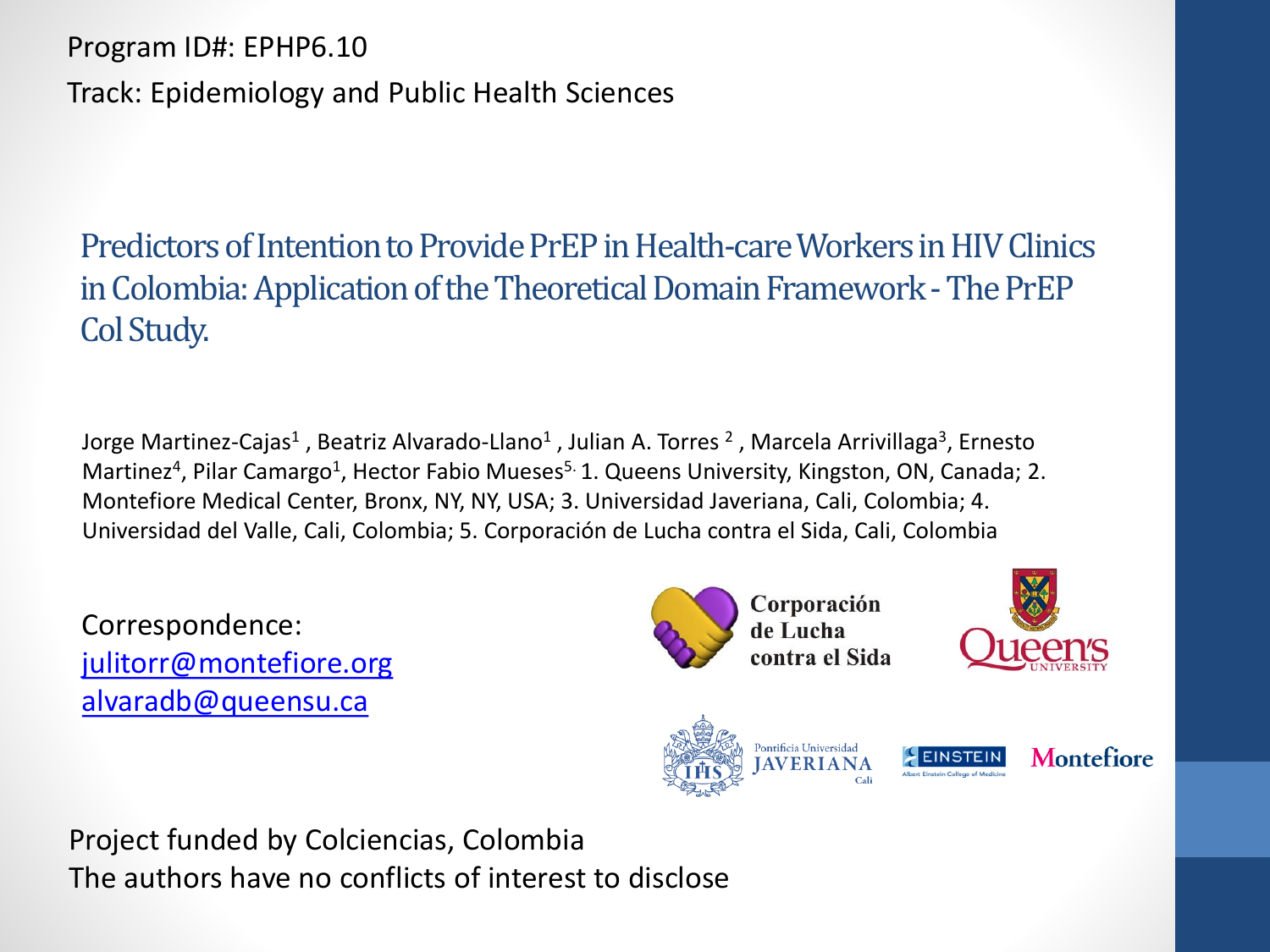Program ID#: EPHP6.10

Track: Epidemiology and Public Health Sciences

Predictors of Intention to Provide PrEP in Health-care Workers in HIV Clinics in Colombia: Application of the Theoretical Domain Framework -The PrEP Col Study.

Jorge Martinez-Cajas<sup>1</sup> , Beatriz Alvarado-Llano<sup>1</sup> , Julian A. Torres <sup>2</sup> , Marcela Arrivillaga<sup>3</sup>, Ernesto Martinez<sup>4</sup>, Pilar Camargo<sup>1</sup>, Hector Fabio Mueses<sup>5.</sup> 1. Queens University, Kingston, ON, Canada; 2. Montefiore Medical Center, Bronx, NY, NY, USA; 3. Universidad Javeriana, Cali, Colombia; 4. Universidad del Valle, Cali, Colombia; 5. Corporación de Lucha contra el Sida, Cali, Colombia

Correspondence: [julitorr@montefiore.org](mailto:julitorr@montefiore.org) [alvaradb@queensu.ca](mailto:alvaradb@queensu.ca)

Corporación de Lucha contra el Sida





Project funded by Colciencias, Colombia The authors have no conflicts of interest to disclose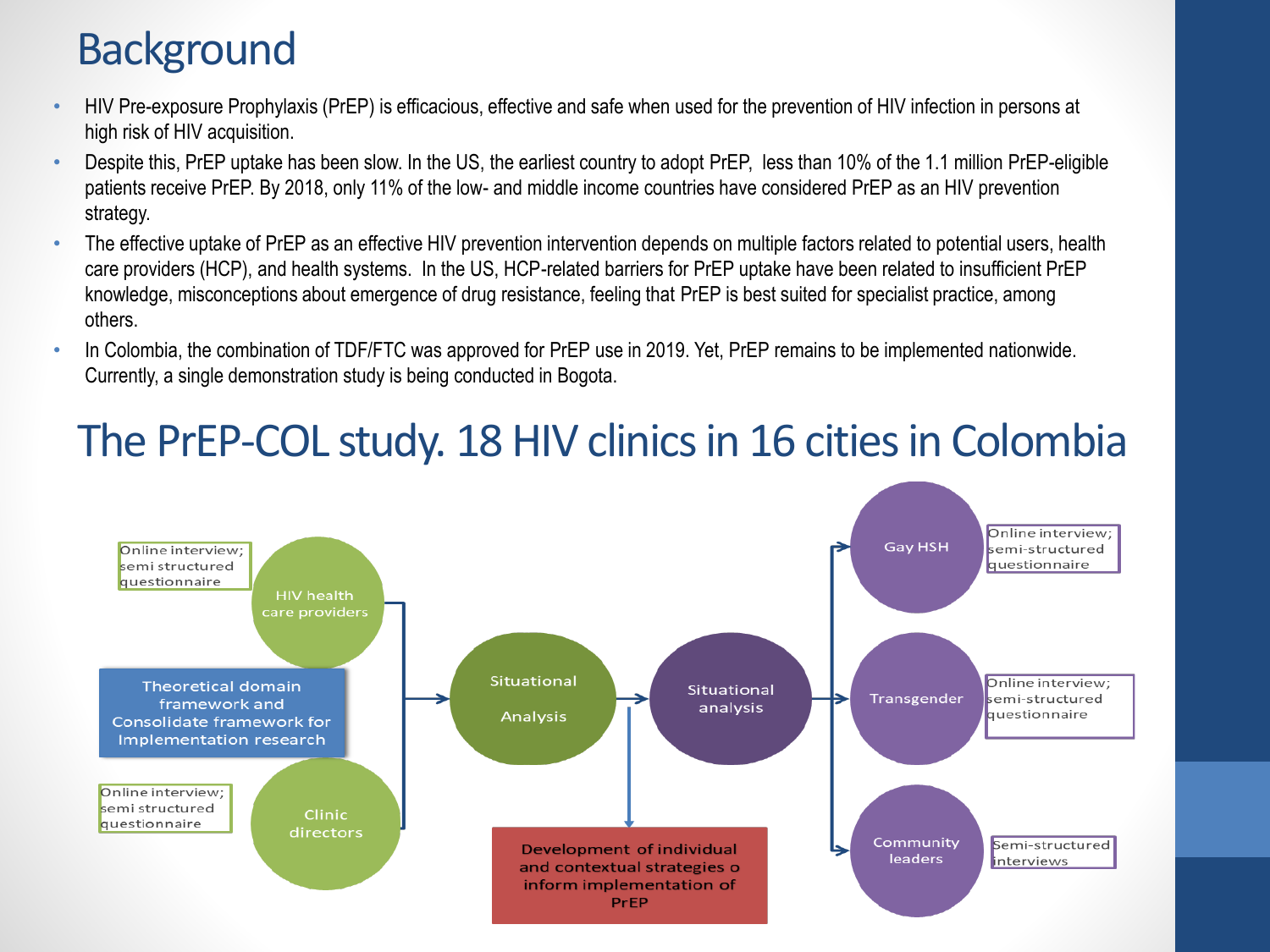# **Background**

- HIV Pre-exposure Prophylaxis (PrEP) is efficacious, effective and safe when used for the prevention of HIV infection in persons at high risk of HIV acquisition.
- Despite this, PrEP uptake has been slow. In the US, the earliest country to adopt PrEP, less than 10% of the 1.1 million PrEP-eligible patients receive PrEP. By 2018, only 11% of the low- and middle income countries have considered PrEP as an HIV prevention strategy.
- The effective uptake of PrEP as an effective HIV prevention intervention depends on multiple factors related to potential users, health care providers (HCP), and health systems. In the US, HCP-related barriers for PrEP uptake have been related to insufficient PrEP knowledge, misconceptions about emergence of drug resistance, feeling that PrEP is best suited for specialist practice, among others.
- In Colombia, the combination of TDF/FTC was approved for PrEP use in 2019. Yet, PrEP remains to be implemented nationwide. Currently, a single demonstration study is being conducted in Bogota.

# The PrEP-COL study. 18 HIV clinics in 16 cities in Colombia

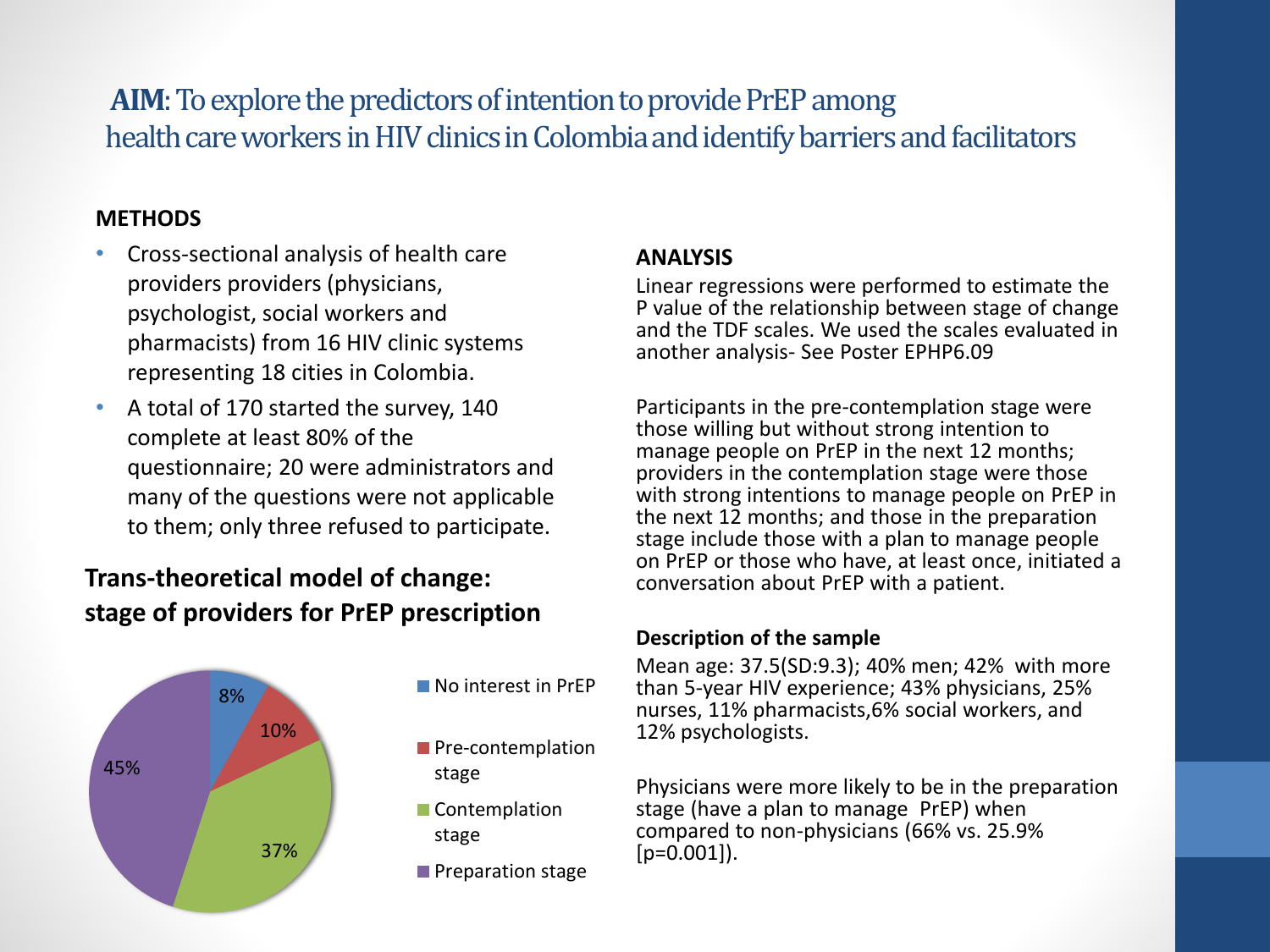## **AIM**: To explore the predictors of intention to provide PrEP among health care workers in HIV clinics in Colombia and identify barriers and facilitators

#### **METHODS**

- Cross-sectional analysis of health care providers providers (physicians, psychologist, social workers and pharmacists) from 16 HIV clinic systems representing 18 cities in Colombia.
- A total of 170 started the survey, 140 complete at least 80% of the questionnaire; 20 were administrators and many of the questions were not applicable to them; only three refused to participate.

## **Trans-theoretical model of change: stage of providers for PrEP prescription**



#### **ANALYSIS**

Linear regressions were performed to estimate the P value of the relationship between stage of change and the TDF scales. We used the scales evaluated in another analysis- See Poster EPHP6.09

Participants in the pre-contemplation stage were those willing but without strong intention to manage people on PrEP in the next 12 months; providers in the contemplation stage were those with strong intentions to manage people on PrEP in the next 12 months; and those in the preparation stage include those with a plan to manage people on PrEP or those who have, at least once, initiated a conversation about PrEP with a patient.

#### **Description of the sample**

Mean age: 37.5(SD:9.3); 40% men; 42% with more than 5-year HIV experience; 43% physicians, 25% nurses, 11% pharmacists,6% social workers, and 12% psychologists.

Physicians were more likely to be in the preparation stage (have a plan to manage PrEP) when compared to non-physicians (66% vs. 25.9%  $[p=0.001]$ .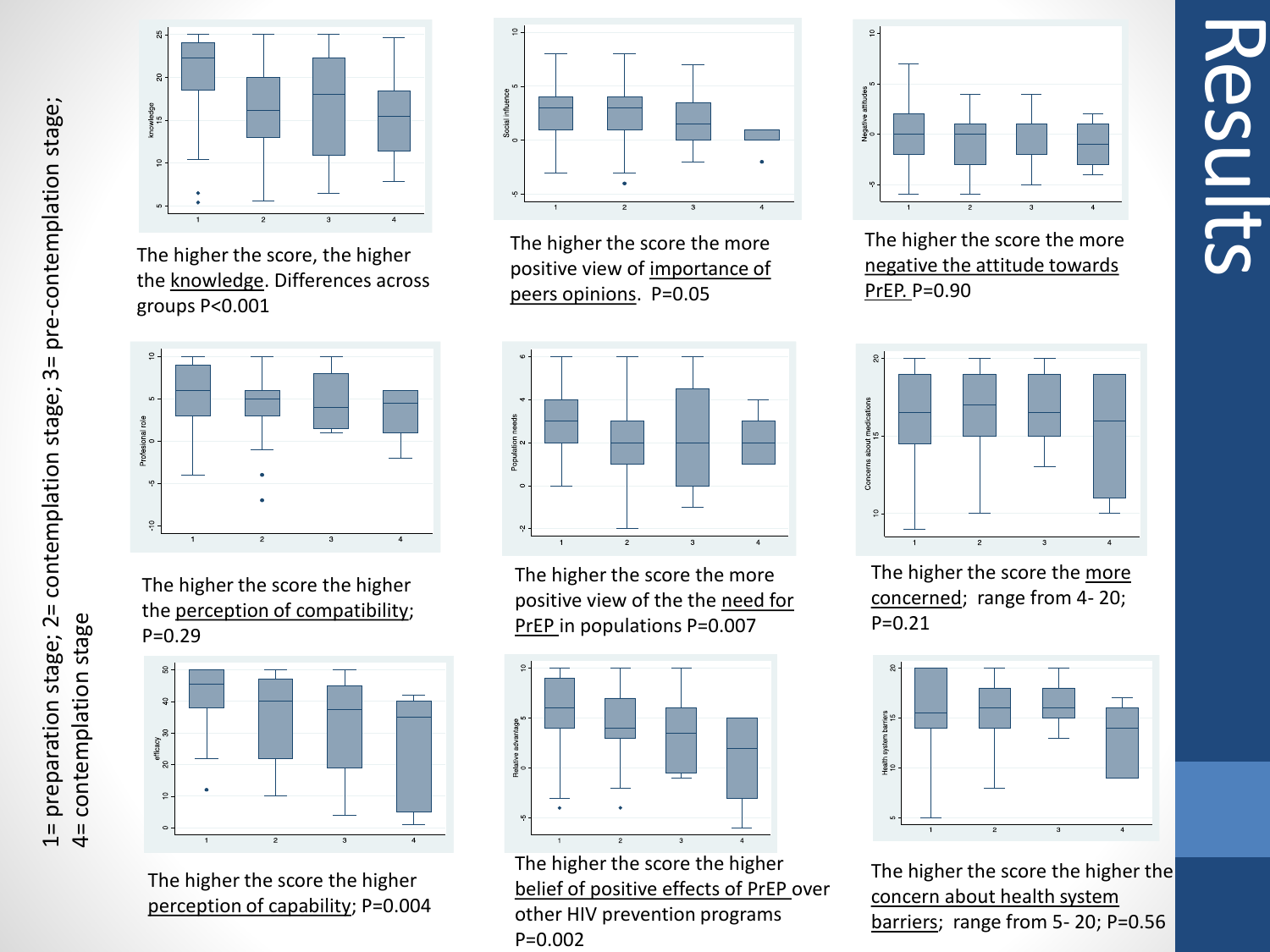

The higher the score, the higher the knowledge. Differences across groups P<0.001



The higher the score the higher the perception of compatibility; P=0.29



The higher the score the higher perception of capability; P=0.004



The higher the score the more positive view of importance of peers opinions. P=0.05



The higher the score the more positive view of the the need for PrEP in populations P=0.007

![](_page_3_Figure_11.jpeg)

The higher the score the higher belief of positive effects of PrEP over other HIV prevention programs P=0.002

![](_page_3_Figure_13.jpeg)

Results

The higher the score the more negative the attitude towards PrEP. P=0.90

![](_page_3_Figure_15.jpeg)

The higher the score the more concerned; range from 4- 20; P=0.21

![](_page_3_Figure_17.jpeg)

The higher the score the higher the concern about health system barriers; range from 5- 20; P=0.56